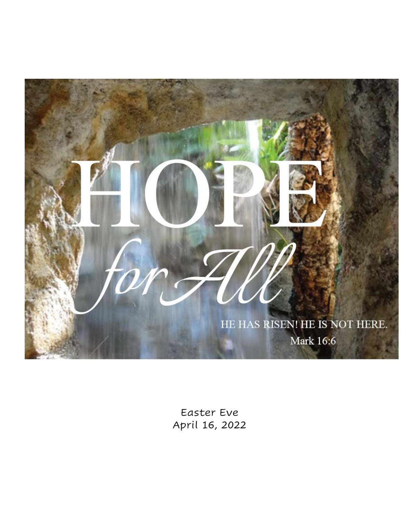

Easter Eve April 16, 2022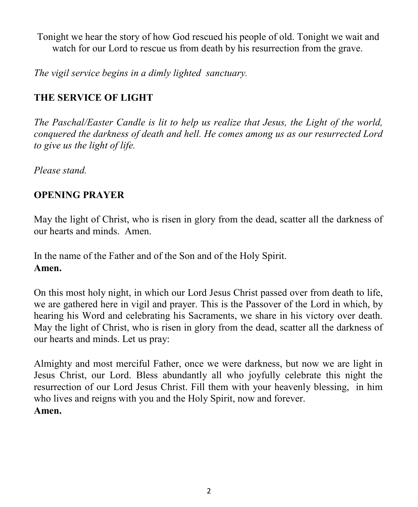Tonight we hear the story of how God rescued his people of old. Tonight we wait and watch for our Lord to rescue us from death by his resurrection from the grave.

*The vigil service begins in a dimly lighted sanctuary.*

# **THE SERVICE OF LIGHT**

*The Paschal/Easter Candle is lit to help us realize that Jesus, the Light of the world, conquered the darkness of death and hell. He comes among us as our resurrected Lord to give us the light of life.* 

*Please stand.*

# **OPENING PRAYER**

May the light of Christ, who is risen in glory from the dead, scatter all the darkness of our hearts and minds. Amen.

In the name of the Father and of the Son and of the Holy Spirit. **Amen.**

On this most holy night, in which our Lord Jesus Christ passed over from death to life, we are gathered here in vigil and prayer. This is the Passover of the Lord in which, by hearing his Word and celebrating his Sacraments, we share in his victory over death. May the light of Christ, who is risen in glory from the dead, scatter all the darkness of our hearts and minds. Let us pray:

Almighty and most merciful Father, once we were darkness, but now we are light in Jesus Christ, our Lord. Bless abundantly all who joyfully celebrate this night the resurrection of our Lord Jesus Christ. Fill them with your heavenly blessing, in him who lives and reigns with you and the Holy Spirit, now and forever. **Amen.**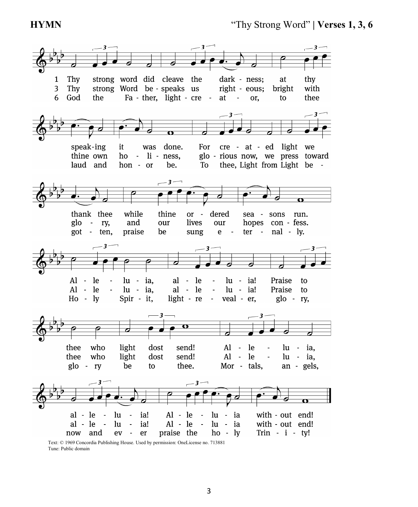

Text: © 1969 Concordia Publishing House. Used by permission: OneLicense no. 713881 Tune: Public domain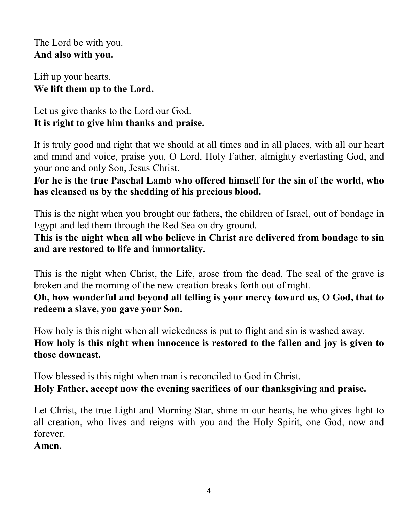The Lord be with you. **And also with you.**

Lift up your hearts. **We lift them up to the Lord.**

Let us give thanks to the Lord our God. **It is right to give him thanks and praise.**

It is truly good and right that we should at all times and in all places, with all our heart and mind and voice, praise you, O Lord, Holy Father, almighty everlasting God, and your one and only Son, Jesus Christ.

**For he is the true Paschal Lamb who offered himself for the sin of the world, who has cleansed us by the shedding of his precious blood.**

This is the night when you brought our fathers, the children of Israel, out of bondage in Egypt and led them through the Red Sea on dry ground.

**This is the night when all who believe in Christ are delivered from bondage to sin and are restored to life and immortality.**

This is the night when Christ, the Life, arose from the dead. The seal of the grave is broken and the morning of the new creation breaks forth out of night.

**Oh, how wonderful and beyond all telling is your mercy toward us, O God, that to redeem a slave, you gave your Son.**

How holy is this night when all wickedness is put to flight and sin is washed away. **How holy is this night when innocence is restored to the fallen and joy is given to those downcast.**

How blessed is this night when man is reconciled to God in Christ. **Holy Father, accept now the evening sacrifices of our thanksgiving and praise.**

Let Christ, the true Light and Morning Star, shine in our hearts, he who gives light to all creation, who lives and reigns with you and the Holy Spirit, one God, now and forever.

**Amen.**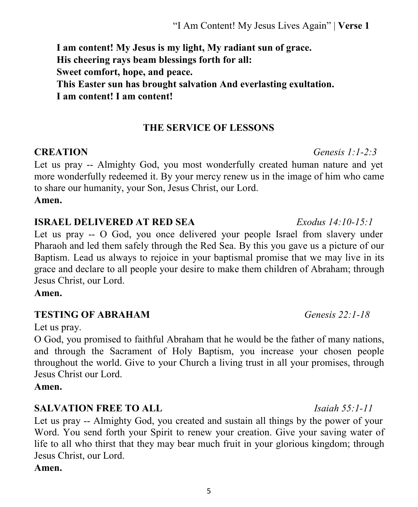5

**I am content! My Jesus is my light, My radiant sun of grace. His cheering rays beam blessings forth for all: Sweet comfort, hope, and peace. This Easter sun has brought salvation And everlasting exultation. I am content! I am content!**

# **THE SERVICE OF LESSONS**

Let us pray -- Almighty God, you most wonderfully created human nature and yet more wonderfully redeemed it. By your mercy renew us in the image of him who came to share our humanity, your Son, Jesus Christ, our Lord.

# **Amen.**

# **ISRAEL DELIVERED AT RED SEA** *Exodus 14:10-15:1*

Let us pray -- O God, you once delivered your people Israel from slavery under Pharaoh and led them safely through the Red Sea. By this you gave us a picture of our Baptism. Lead us always to rejoice in your baptismal promise that we may live in its grace and declare to all people your desire to make them children of Abraham; through Jesus Christ, our Lord.

**Amen.**

# **TESTING OF ABRAHAM** *Genesis 22:1-18*

Let us pray.

O God, you promised to faithful Abraham that he would be the father of many nations, and through the Sacrament of Holy Baptism, you increase your chosen people throughout the world. Give to your Church a living trust in all your promises, through Jesus Christ our Lord.

**Amen.**

# **SALVATION FREE TO ALL** *Isaiah 55:1-11*

Let us pray -- Almighty God, you created and sustain all things by the power of your Word. You send forth your Spirit to renew your creation. Give your saving water of life to all who thirst that they may bear much fruit in your glorious kingdom; through Jesus Christ, our Lord.

**Amen.**

**CREATION** *Genesis 1:1-2:3*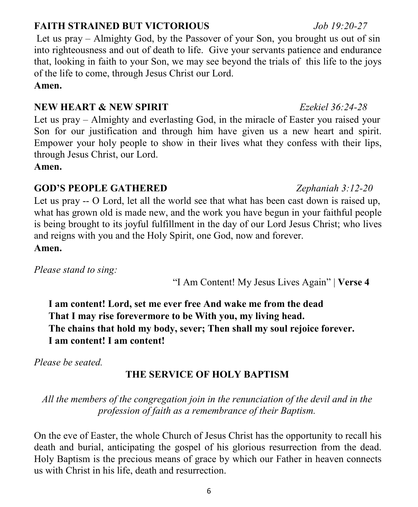### 6

### **FAITH STRAINED BUT VICTORIOUS** *Job 19:20-27*

Let us pray – Almighty God, by the Passover of your Son, you brought us out of sin into righteousness and out of death to life. Give your servants patience and endurance that, looking in faith to your Son, we may see beyond the trials of this life to the joys of the life to come, through Jesus Christ our Lord.

**Amen.** 

### **NEW HEART & NEW SPIRIT** *Ezekiel 36:24-28*

Let us pray – Almighty and everlasting God, in the miracle of Easter you raised your Son for our justification and through him have given us a new heart and spirit. Empower your holy people to show in their lives what they confess with their lips, through Jesus Christ, our Lord.

**Amen.**

# **GOD'S PEOPLE GATHERED** *Zephaniah 3:12-20*

Let us pray -- O Lord, let all the world see that what has been cast down is raised up, what has grown old is made new, and the work you have begun in your faithful people is being brought to its joyful fulfillment in the day of our Lord Jesus Christ; who lives and reigns with you and the Holy Spirit, one God, now and forever.

**Amen.**

*Please stand to sing:*

"I Am Content! My Jesus Lives Again" | **Verse 4**

**I am content! Lord, set me ever free And wake me from the dead That I may rise forevermore to be With you, my living head. The chains that hold my body, sever; Then shall my soul rejoice forever. I am content! I am content!**

*Please be seated.*

# **THE SERVICE OF HOLY BAPTISM**

*All the members of the congregation join in the renunciation of the devil and in the profession of faith as a remembrance of their Baptism.*

On the eve of Easter, the whole Church of Jesus Christ has the opportunity to recall his death and burial, anticipating the gospel of his glorious resurrection from the dead. Holy Baptism is the precious means of grace by which our Father in heaven connects us with Christ in his life, death and resurrection.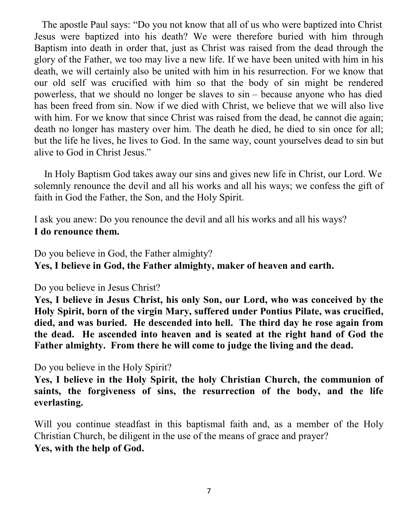The apostle Paul says: "Do you not know that all of us who were baptized into Christ Jesus were baptized into his death? We were therefore buried with him through Baptism into death in order that, just as Christ was raised from the dead through the glory of the Father, we too may live a new life. If we have been united with him in his death, we will certainly also be united with him in his resurrection. For we know that our old self was crucified with him so that the body of sin might be rendered powerless, that we should no longer be slaves to sin – because anyone who has died has been freed from sin. Now if we died with Christ, we believe that we will also live with him. For we know that since Christ was raised from the dead, he cannot die again; death no longer has mastery over him. The death he died, he died to sin once for all; but the life he lives, he lives to God. In the same way, count yourselves dead to sin but alive to God in Christ Jesus."

 In Holy Baptism God takes away our sins and gives new life in Christ, our Lord. We solemnly renounce the devil and all his works and all his ways; we confess the gift of faith in God the Father, the Son, and the Holy Spirit.

I ask you anew: Do you renounce the devil and all his works and all his ways? **I do renounce them.**

Do you believe in God, the Father almighty? **Yes, I believe in God, the Father almighty, maker of heaven and earth.**

### Do you believe in Jesus Christ?

**Yes, I believe in Jesus Christ, his only Son, our Lord, who was conceived by the Holy Spirit, born of the virgin Mary, suffered under Pontius Pilate, was crucified, died, and was buried. He descended into hell. The third day he rose again from the dead. He ascended into heaven and is seated at the right hand of God the Father almighty. From there he will come to judge the living and the dead.**

Do you believe in the Holy Spirit?

**Yes, I believe in the Holy Spirit, the holy Christian Church, the communion of saints, the forgiveness of sins, the resurrection of the body, and the life everlasting.**

Will you continue steadfast in this baptismal faith and, as a member of the Holy Christian Church, be diligent in the use of the means of grace and prayer? **Yes, with the help of God.**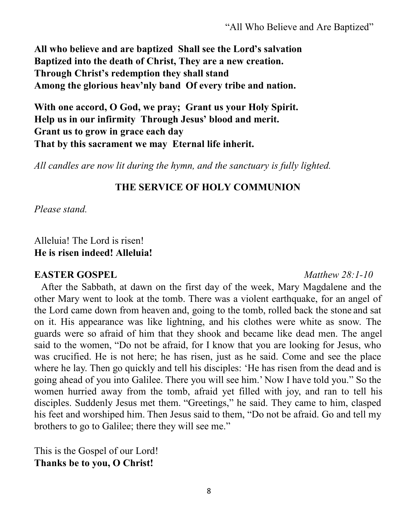**All who believe and are baptized Shall see the Lord's salvation Baptized into the death of Christ, They are a new creation. Through Christ's redemption they shall stand Among the glorious heav'nly band Of every tribe and nation.**

**With one accord, O God, we pray; Grant us your Holy Spirit. Help us in our infirmity Through Jesus' blood and merit. Grant us to grow in grace each day That by this sacrament we may Eternal life inherit.**

*All candles are now lit during the hymn, and the sanctuary is fully lighted.*

# **THE SERVICE OF HOLY COMMUNION**

*Please stand.*

Alleluia! The Lord is risen! **He is risen indeed! Alleluia!**

# **EASTER GOSPEL** *Matthew 28:1-10*

 After the Sabbath, at dawn on the first day of the week, Mary Magdalene and the other Mary went to look at the tomb. There was a violent earthquake, for an angel of the Lord came down from heaven and, going to the tomb, rolled back the stone and sat on it. His appearance was like lightning, and his clothes were white as snow. The guards were so afraid of him that they shook and became like dead men. The angel said to the women, "Do not be afraid, for I know that you are looking for Jesus, who was crucified. He is not here; he has risen, just as he said. Come and see the place where he lay. Then go quickly and tell his disciples: 'He has risen from the dead and is going ahead of you into Galilee. There you will see him.' Now I have told you." So the women hurried away from the tomb, afraid yet filled with joy, and ran to tell his disciples. Suddenly Jesus met them. "Greetings," he said. They came to him, clasped his feet and worshiped him. Then Jesus said to them, "Do not be afraid. Go and tell my brothers to go to Galilee; there they will see me."

This is the Gospel of our Lord! **Thanks be to you, O Christ!**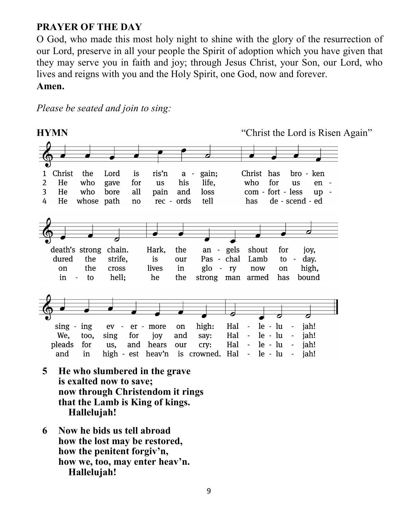### **PRAYER OF THE DAY**

O God, who made this most holy night to shine with the glory of the resurrection of our Lord, preserve in all your people the Spirit of adoption which you have given that they may serve you in faith and joy; through Jesus Christ, your Son, our Lord, who lives and reigns with you and the Holy Spirit, one God, now and forever.

**Amen.**

*Please be seated and join to sing:*



**6 Now he bids us tell abroad how the lost may be restored, how the penitent forgiv'n, how we, too, may enter heav'n. Hallelujah!**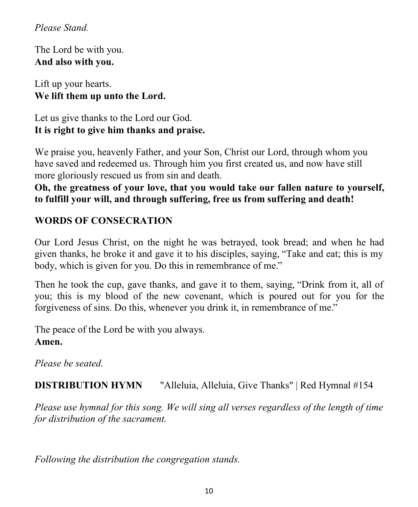*Please Stand.*

The Lord be with you. **And also with you.**

Lift up your hearts. **We lift them up unto the Lord.**

Let us give thanks to the Lord our God. **It is right to give him thanks and praise.**

We praise you, heavenly Father, and your Son, Christ our Lord, through whom you have saved and redeemed us. Through him you first created us, and now have still more gloriously rescued us from sin and death.

**Oh, the greatness of your love, that you would take our fallen nature to yourself, to fulfill your will, and through suffering, free us from suffering and death!**

# **WORDS OF CONSECRATION**

Our Lord Jesus Christ, on the night he was betrayed, took bread; and when he had given thanks, he broke it and gave it to his disciples, saying, "Take and eat; this is my body, which is given for you. Do this in remembrance of me."

Then he took the cup, gave thanks, and gave it to them, saying, "Drink from it, all of you; this is my blood of the new covenant, which is poured out for you for the forgiveness of sins. Do this, whenever you drink it, in remembrance of me."

The peace of the Lord be with you always. **Amen.** 

*Please be seated.*

**DISTRIBUTION HYMN** "Alleluia, Alleluia, Give Thanks" | Red Hymnal #154

*Please use hymnal for this song. We will sing all verses regardless of the length of time for distribution of the sacrament.* 

*Following the distribution the congregation stands.*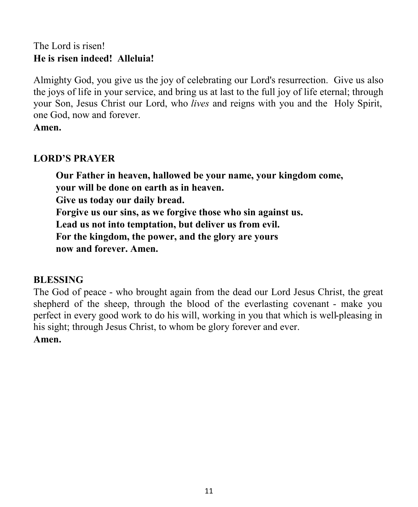# The Lord is risen! **He is risen indeed! Alleluia!**

Almighty God, you give us the joy of celebrating our Lord's resurrection. Give us also the joys of life in your service, and bring us at last to the full joy of life eternal; through your Son, Jesus Christ our Lord, who *lives* and reigns with you and the Holy Spirit, one God, now and forever.

**Amen.**

# **LORD'S PRAYER**

**Our Father in heaven, hallowed be your name, your kingdom come, your will be done on earth as in heaven. Give us today our daily bread. Forgive us our sins, as we forgive those who sin against us. Lead us not into temptation, but deliver us from evil. For the kingdom, the power, and the glory are yours now and forever. Amen.**

# **BLESSING**

The God of peace - who brought again from the dead our Lord Jesus Christ, the great shepherd of the sheep, through the blood of the everlasting covenant - make you perfect in every good work to do his will, working in you that which is well-pleasing in his sight; through Jesus Christ, to whom be glory forever and ever.

**Amen.**